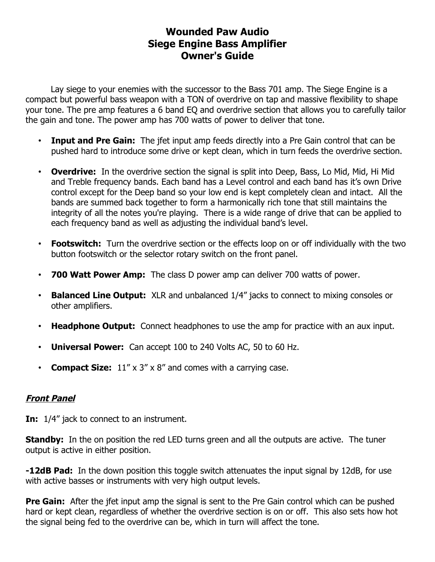# **Wounded Paw Audio Siege Engine Bass Amplifier Owner's Guide**

Lay siege to your enemies with the successor to the Bass 701 amp. The Siege Engine is a compact but powerful bass weapon with a TON of overdrive on tap and massive flexibility to shape your tone. The pre amp features a 6 band EQ and overdrive section that allows you to carefully tailor the gain and tone. The power amp has 700 watts of power to deliver that tone.

- **Input and Pre Gain:** The jfet input amp feeds directly into a Pre Gain control that can be pushed hard to introduce some drive or kept clean, which in turn feeds the overdrive section.
- **Overdrive:** In the overdrive section the signal is split into Deep, Bass, Lo Mid, Mid, Hi Mid and Treble frequency bands. Each band has a Level control and each band has it's own Drive control except for the Deep band so your low end is kept completely clean and intact. All the bands are summed back together to form a harmonically rich tone that still maintains the integrity of all the notes you're playing. There is a wide range of drive that can be applied to each frequency band as well as adjusting the individual band's level.
- **Footswitch:** Turn the overdrive section or the effects loop on or off individually with the two button footswitch or the selector rotary switch on the front panel.
- **700 Watt Power Amp:** The class D power amp can deliver 700 watts of power.
- **Balanced Line Output:** XLR and unbalanced 1/4" jacks to connect to mixing consoles or other amplifiers.
- **Headphone Output:** Connect headphones to use the amp for practice with an aux input.
- **Universal Power:** Can accept 100 to 240 Volts AC, 50 to 60 Hz.
- **Compact Size:** 11" x 3" x 8" and comes with a carrying case.

# **Front Panel**

**In:** 1/4" jack to connect to an instrument.

**Standby:** In the on position the red LED turns green and all the outputs are active. The tuner output is active in either position.

**-12dB Pad:** In the down position this toggle switch attenuates the input signal by 12dB, for use with active basses or instruments with very high output levels.

**Pre Gain:** After the jfet input amp the signal is sent to the Pre Gain control which can be pushed hard or kept clean, regardless of whether the overdrive section is on or off. This also sets how hot the signal being fed to the overdrive can be, which in turn will affect the tone.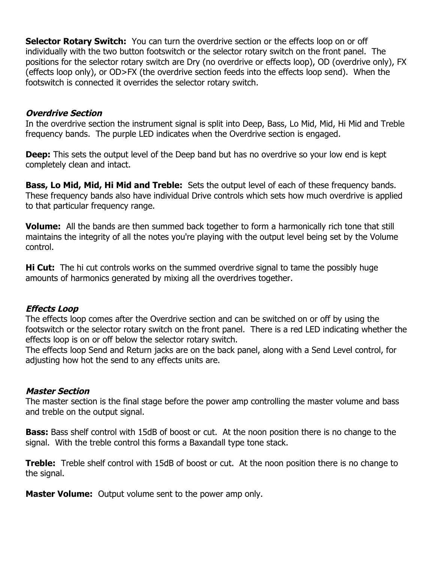**Selector Rotary Switch:** You can turn the overdrive section or the effects loop on or off individually with the two button footswitch or the selector rotary switch on the front panel. The positions for the selector rotary switch are Dry (no overdrive or effects loop), OD (overdrive only), FX (effects loop only), or OD>FX (the overdrive section feeds into the effects loop send). When the footswitch is connected it overrides the selector rotary switch.

#### **Overdrive Section**

In the overdrive section the instrument signal is split into Deep, Bass, Lo Mid, Mid, Hi Mid and Treble frequency bands. The purple LED indicates when the Overdrive section is engaged.

**Deep:** This sets the output level of the Deep band but has no overdrive so your low end is kept completely clean and intact.

**Bass, Lo Mid, Mid, Hi Mid and Treble:** Sets the output level of each of these frequency bands. These frequency bands also have individual Drive controls which sets how much overdrive is applied to that particular frequency range.

**Volume:** All the bands are then summed back together to form a harmonically rich tone that still maintains the integrity of all the notes you're playing with the output level being set by the Volume control.

**Hi Cut:** The hi cut controls works on the summed overdrive signal to tame the possibly huge amounts of harmonics generated by mixing all the overdrives together.

### **Effects Loop**

The effects loop comes after the Overdrive section and can be switched on or off by using the footswitch or the selector rotary switch on the front panel. There is a red LED indicating whether the effects loop is on or off below the selector rotary switch.

The effects loop Send and Return jacks are on the back panel, along with a Send Level control, for adjusting how hot the send to any effects units are.

### **Master Section**

The master section is the final stage before the power amp controlling the master volume and bass and treble on the output signal.

**Bass:** Bass shelf control with 15dB of boost or cut. At the noon position there is no change to the signal. With the treble control this forms a Baxandall type tone stack.

**Treble:** Treble shelf control with 15dB of boost or cut. At the noon position there is no change to the signal.

**Master Volume:** Output volume sent to the power amp only.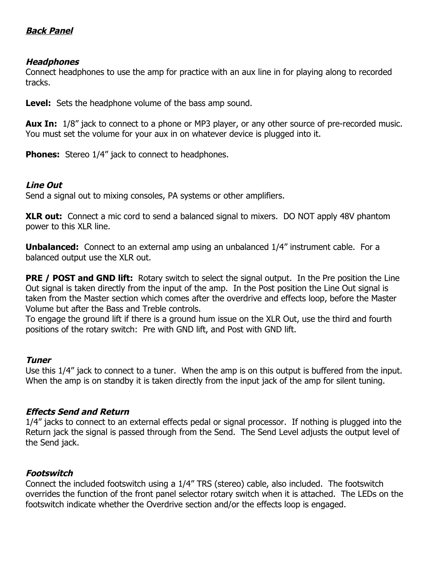# **Back Panel**

## **Headphones**

Connect headphones to use the amp for practice with an aux line in for playing along to recorded tracks.

**Level:** Sets the headphone volume of the bass amp sound.

**Aux In:** 1/8" jack to connect to a phone or MP3 player, or any other source of pre-recorded music. You must set the volume for your aux in on whatever device is plugged into it.

**Phones:** Stereo 1/4" jack to connect to headphones.

## **Line Out**

Send a signal out to mixing consoles, PA systems or other amplifiers.

**XLR out:** Connect a mic cord to send a balanced signal to mixers. DO NOT apply 48V phantom power to this XLR line.

**Unbalanced:** Connect to an external amp using an unbalanced 1/4" instrument cable. For a balanced output use the XLR out.

**PRE / POST and GND lift:** Rotary switch to select the signal output. In the Pre position the Line Out signal is taken directly from the input of the amp. In the Post position the Line Out signal is taken from the Master section which comes after the overdrive and effects loop, before the Master Volume but after the Bass and Treble controls.

To engage the ground lift if there is a ground hum issue on the XLR Out, use the third and fourth positions of the rotary switch: Pre with GND lift, and Post with GND lift.

### **Tuner**

Use this 1/4" jack to connect to a tuner. When the amp is on this output is buffered from the input. When the amp is on standby it is taken directly from the input jack of the amp for silent tuning.

# **Effects Send and Return**

1/4" jacks to connect to an external effects pedal or signal processor. If nothing is plugged into the Return jack the signal is passed through from the Send. The Send Level adjusts the output level of the Send jack.

# **Footswitch**

Connect the included footswitch using a 1/4" TRS (stereo) cable, also included. The footswitch overrides the function of the front panel selector rotary switch when it is attached. The LEDs on the footswitch indicate whether the Overdrive section and/or the effects loop is engaged.